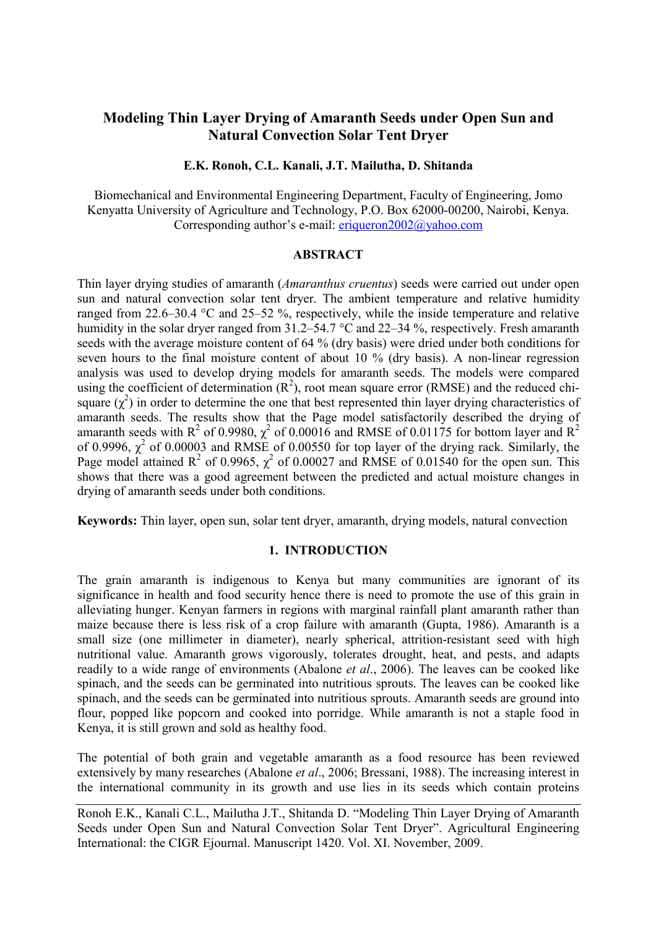# **Modeling Thin Layer Drying of Amaranth Seeds under Open Sun and Natural Convection Solar Tent Dryer**

### **E.K. Ronoh, C.L. Kanali, J.T. Mailutha, D. Shitanda**

Biomechanical and Environmental Engineering Department, Faculty of Engineering, Jomo Kenyatta University of Agriculture and Technology, P.O. Box 62000-00200, Nairobi, Kenya. Corresponding author's e-mail: eriqueron2002@yahoo.com

### **ABSTRACT**

Thin layer drying studies of amaranth (*Amaranthus cruentus*) seeds were carried out under open sun and natural convection solar tent dryer. The ambient temperature and relative humidity ranged from 22.6–30.4 °C and 25–52 %, respectively, while the inside temperature and relative humidity in the solar dryer ranged from 31.2–54.7 °C and 22–34 %, respectively. Fresh amaranth seeds with the average moisture content of 64 % (dry basis) were dried under both conditions for seven hours to the final moisture content of about 10 % (dry basis). A non-linear regression analysis was used to develop drying models for amaranth seeds. The models were compared using the coefficient of determination  $(R^2)$ , root mean square error (RMSE) and the reduced chisquare  $(\chi^2)$  in order to determine the one that best represented thin layer drying characteristics of amaranth seeds. The results show that the Page model satisfactorily described the drying of amaranth seeds with R<sup>2</sup> of 0.9980,  $\chi^2$  of 0.00016 and RMSE of 0.01175 for bottom layer and R<sup>2</sup> of 0.9996,  $\chi^2$  of 0.00003 and RMSE of 0.00550 for top layer of the drying rack. Similarly, the Page model attained R<sup>2</sup> of 0.9965,  $\chi^2$  of 0.00027 and RMSE of 0.01540 for the open sun. This shows that there was a good agreement between the predicted and actual moisture changes in drying of amaranth seeds under both conditions.

**Keywords:** Thin layer, open sun, solar tent dryer, amaranth, drying models, natural convection

# **1. INTRODUCTION**

The grain amaranth is indigenous to Kenya but many communities are ignorant of its significance in health and food security hence there is need to promote the use of this grain in alleviating hunger. Kenyan farmers in regions with marginal rainfall plant amaranth rather than maize because there is less risk of a crop failure with amaranth (Gupta, 1986). Amaranth is a small size (one millimeter in diameter), nearly spherical, attrition-resistant seed with high nutritional value. Amaranth grows vigorously, tolerates drought, heat, and pests, and adapts readily to a wide range of environments (Abalone *et al*., 2006). The leaves can be cooked like spinach, and the seeds can be germinated into nutritious sprouts. The leaves can be cooked like spinach, and the seeds can be germinated into nutritious sprouts. Amaranth seeds are ground into flour, popped like popcorn and cooked into porridge. While amaranth is not a staple food in Kenya, it is still grown and sold as healthy food.

The potential of both grain and vegetable amaranth as a food resource has been reviewed extensively by many researches (Abalone *et al*., 2006; Bressani, 1988). The increasing interest in the international community in its growth and use lies in its seeds which contain proteins

Ronoh E.K., Kanali C.L., Mailutha J.T., Shitanda D. "Modeling Thin Layer Drying of Amaranth Seeds under Open Sun and Natural Convection Solar Tent Dryer". Agricultural Engineering International: the CIGR Ejournal. Manuscript 1420. Vol. XI. November, 2009.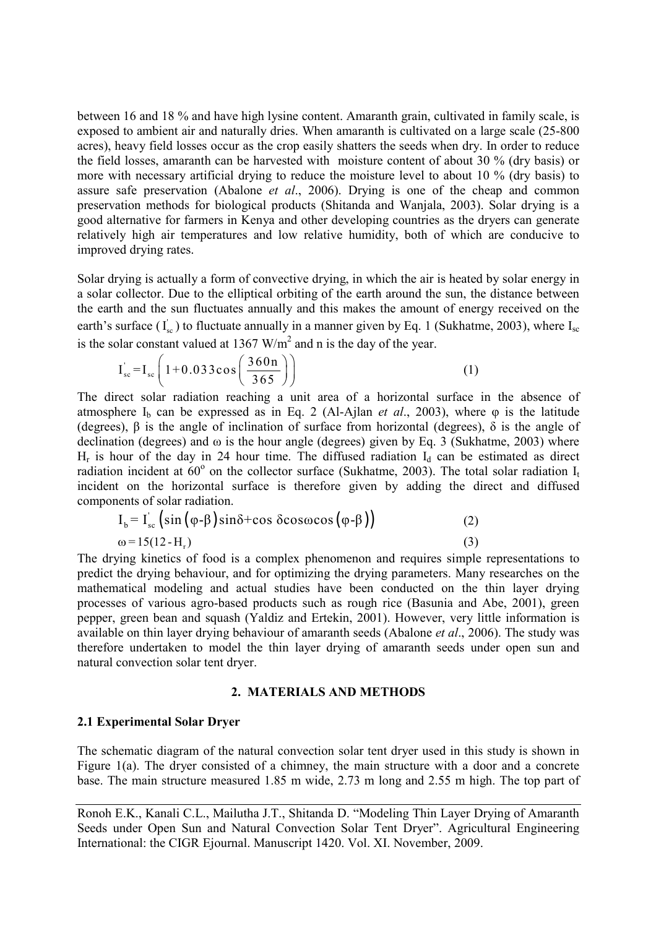between 16 and 18 % and have high lysine content. Amaranth grain, cultivated in family scale, is exposed to ambient air and naturally dries. When amaranth is cultivated on a large scale (25-800 acres), heavy field losses occur as the crop easily shatters the seeds when dry. In order to reduce the field losses, amaranth can be harvested with moisture content of about 30 % (dry basis) or more with necessary artificial drying to reduce the moisture level to about 10 % (dry basis) to assure safe preservation (Abalone *et al*., 2006). Drying is one of the cheap and common preservation methods for biological products (Shitanda and Wanjala, 2003). Solar drying is a good alternative for farmers in Kenya and other developing countries as the dryers can generate relatively high air temperatures and low relative humidity, both of which are conducive to improved drying rates.

Solar drying is actually a form of convective drying, in which the air is heated by solar energy in a solar collector. Due to the elliptical orbiting of the earth around the sun, the distance between the earth and the sun fluctuates annually and this makes the amount of energy received on the earth's surface  $(I_{\rm sc})$  to fluctuate annually in a manner given by Eq. 1 (Sukhatme, 2003), where  $I_{\rm sc}$ is the solar constant valued at 1367 W/ $m<sup>2</sup>$  and n is the day of the year.

$$
I'_{sc} = I_{sc} \left( 1 + 0.033 \cos \left( \frac{360n}{365} \right) \right)
$$
 (1)

The direct solar radiation reaching a unit area of a horizontal surface in the absence of atmosphere  $I_b$  can be expressed as in Eq. 2 (Al-Ajlan *et al.*, 2003), where  $\varphi$  is the latitude (degrees),  $\beta$  is the angle of inclination of surface from horizontal (degrees),  $\delta$  is the angle of declination (degrees) and  $\omega$  is the hour angle (degrees) given by Eq. 3 (Sukhatme, 2003) where  $H_r$  is hour of the day in 24 hour time. The diffused radiation  $I_d$  can be estimated as direct radiation incident at  $60^{\circ}$  on the collector surface (Sukhatme, 2003). The total solar radiation I<sub>t</sub> incident on the horizontal surface is therefore given by adding the direct and diffused components of solar radiation.

$$
I_b = I'_{sc} \left( \sin \left( \phi - \beta \right) \sin \delta + \cos \delta \cos \omega \cos \left( \phi - \beta \right) \right)
$$
\n
$$
\omega = 15(12 - H_r) \tag{3}
$$

The drying kinetics of food is a complex phenomenon and requires simple representations to predict the drying behaviour, and for optimizing the drying parameters. Many researches on the mathematical modeling and actual studies have been conducted on the thin layer drying processes of various agro-based products such as rough rice (Basunia and Abe, 2001), green pepper, green bean and squash (Yaldiz and Ertekin, 2001). However, very little information is available on thin layer drying behaviour of amaranth seeds (Abalone *et al*., 2006). The study was therefore undertaken to model the thin layer drying of amaranth seeds under open sun and natural convection solar tent dryer.

### **2. MATERIALS AND METHODS**

### **2.1 Experimental Solar Dryer**

The schematic diagram of the natural convection solar tent dryer used in this study is shown in Figure 1(a). The dryer consisted of a chimney, the main structure with a door and a concrete base. The main structure measured 1.85 m wide, 2.73 m long and 2.55 m high. The top part of

Ronoh E.K., Kanali C.L., Mailutha J.T., Shitanda D. "Modeling Thin Layer Drying of Amaranth Seeds under Open Sun and Natural Convection Solar Tent Dryer". Agricultural Engineering International: the CIGR Ejournal. Manuscript 1420. Vol. XI. November, 2009.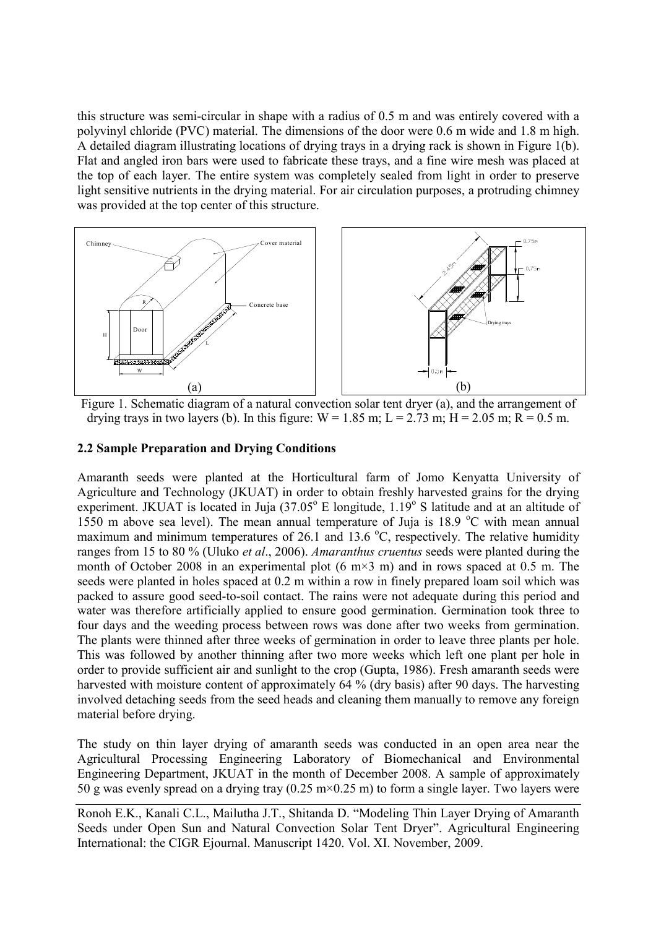this structure was semi-circular in shape with a radius of 0.5 m and was entirely covered with a polyvinyl chloride (PVC) material. The dimensions of the door were 0.6 m wide and 1.8 m high. A detailed diagram illustrating locations of drying trays in a drying rack is shown in Figure 1(b). Flat and angled iron bars were used to fabricate these trays, and a fine wire mesh was placed at the top of each layer. The entire system was completely sealed from light in order to preserve light sensitive nutrients in the drying material. For air circulation purposes, a protruding chimney was provided at the top center of this structure.



Figure 1. Schematic diagram of a natural convection solar tent dryer (a), and the arrangement of drying trays in two layers (b). In this figure:  $W = 1.85$  m;  $L = 2.73$  m;  $H = 2.05$  m;  $R = 0.5$  m.

# **2.2 Sample Preparation and Drying Conditions**

Amaranth seeds were planted at the Horticultural farm of Jomo Kenyatta University of Agriculture and Technology (JKUAT) in order to obtain freshly harvested grains for the drying experiment. JKUAT is located in Juja (37.05° E longitude, 1.19° S latitude and at an altitude of 1550 m above sea level). The mean annual temperature of Juja is  $18.9 °C$  with mean annual maximum and minimum temperatures of 26.1 and 13.6  $^{\circ}$ C, respectively. The relative humidity ranges from 15 to 80 % (Uluko *et al*., 2006). *Amaranthus cruentus* seeds were planted during the month of October 2008 in an experimental plot  $(6 \text{ m} \times 3 \text{ m})$  and in rows spaced at 0.5 m. The seeds were planted in holes spaced at 0.2 m within a row in finely prepared loam soil which was packed to assure good seed-to-soil contact. The rains were not adequate during this period and water was therefore artificially applied to ensure good germination. Germination took three to four days and the weeding process between rows was done after two weeks from germination. The plants were thinned after three weeks of germination in order to leave three plants per hole. This was followed by another thinning after two more weeks which left one plant per hole in order to provide sufficient air and sunlight to the crop (Gupta, 1986). Fresh amaranth seeds were harvested with moisture content of approximately 64 % (dry basis) after 90 days. The harvesting involved detaching seeds from the seed heads and cleaning them manually to remove any foreign material before drying.

The study on thin layer drying of amaranth seeds was conducted in an open area near the Agricultural Processing Engineering Laboratory of Biomechanical and Environmental Engineering Department, JKUAT in the month of December 2008. A sample of approximately 50 g was evenly spread on a drying tray (0.25 m×0.25 m) to form a single layer. Two layers were

Ronoh E.K., Kanali C.L., Mailutha J.T., Shitanda D. "Modeling Thin Layer Drying of Amaranth Seeds under Open Sun and Natural Convection Solar Tent Dryer". Agricultural Engineering International: the CIGR Ejournal. Manuscript 1420. Vol. XI. November, 2009.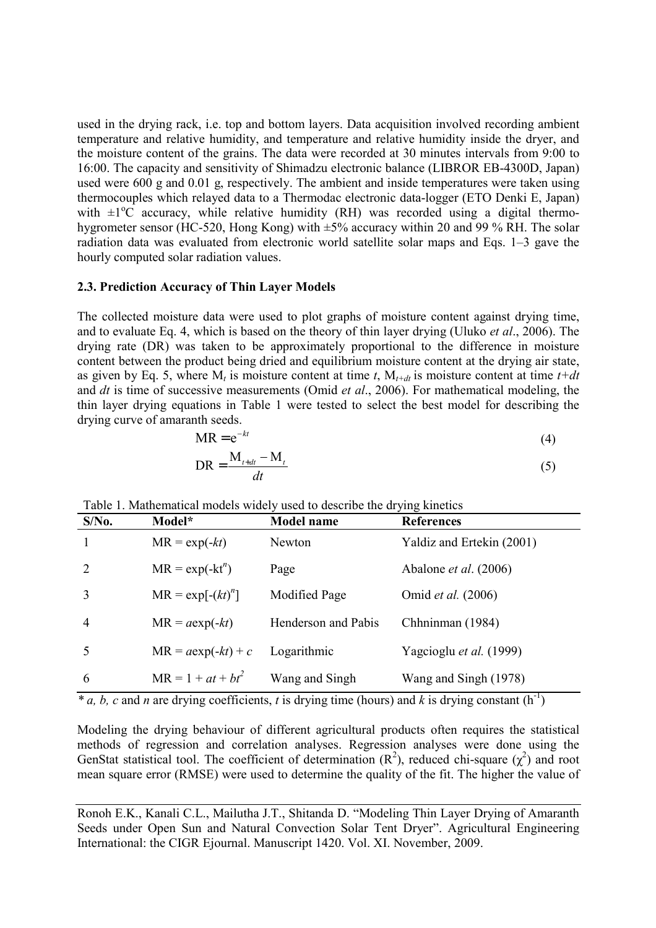used in the drying rack, i.e. top and bottom layers. Data acquisition involved recording ambient temperature and relative humidity, and temperature and relative humidity inside the dryer, and the moisture content of the grains. The data were recorded at 30 minutes intervals from 9:00 to 16:00. The capacity and sensitivity of Shimadzu electronic balance (LIBROR EB-4300D, Japan) used were 600 g and 0.01 g, respectively. The ambient and inside temperatures were taken using thermocouples which relayed data to a Thermodac electronic data-logger (ETO Denki E, Japan) with  $\pm 1^{\circ}$ C accuracy, while relative humidity (RH) was recorded using a digital thermohygrometer sensor (HC-520, Hong Kong) with  $\pm$ 5% accuracy within 20 and 99% RH. The solar radiation data was evaluated from electronic world satellite solar maps and Eqs. 1–3 gave the hourly computed solar radiation values.

## **2.3. Prediction Accuracy of Thin Layer Models**

The collected moisture data were used to plot graphs of moisture content against drying time, and to evaluate Eq. 4, which is based on the theory of thin layer drying (Uluko *et al*., 2006). The drying rate (DR) was taken to be approximately proportional to the difference in moisture content between the product being dried and equilibrium moisture content at the drying air state, as given by Eq. 5, where  $M_t$  is moisture content at time  $t$ ,  $M_{t+dt}$  is moisture content at time  $t+dt$ and *dt* is time of successive measurements (Omid *et al*., 2006). For mathematical modeling, the thin layer drying equations in Table 1 were tested to select the best model for describing the drying curve of amaranth seeds.

$$
MR = e^{-kt} \tag{4}
$$

$$
DR = \frac{M_{t+dt} - M_t}{dt}
$$
 (5)

| $S/N0$ . | Model*               | <b>Model name</b>   | <b>References</b>            |
|----------|----------------------|---------------------|------------------------------|
|          | $MR = \exp(-kt)$     | Newton              | Yaldiz and Ertekin (2001)    |
| 2        | $MR = \exp(-kt^n)$   | Page                | Abalone <i>et al.</i> (2006) |
|          | $MR = \exp[-(kt)^n]$ | Modified Page       | Omid et al. (2006)           |
| 4        | $MR = aexp(-kt)$     | Henderson and Pabis | Chhninman (1984)             |
|          | $MR = aexp(-kt) + c$ | Logarithmic         | Yagcioglu et al. (1999)      |
| 6        | $MR = 1 + at + bt^2$ | Wang and Singh      | Wang and Singh (1978)        |

Table 1. Mathematical models widely used to describe the drying kinetics

 $*$  *a, b, c* and *n* are drying coefficients, *t* is drying time (hours) and *k* is drying constant (h<sup>-1</sup>)

Modeling the drying behaviour of different agricultural products often requires the statistical methods of regression and correlation analyses. Regression analyses were done using the GenStat statistical tool. The coefficient of determination  $(R^2)$ , reduced chi-square  $(\chi^2)$  and root mean square error (RMSE) were used to determine the quality of the fit. The higher the value of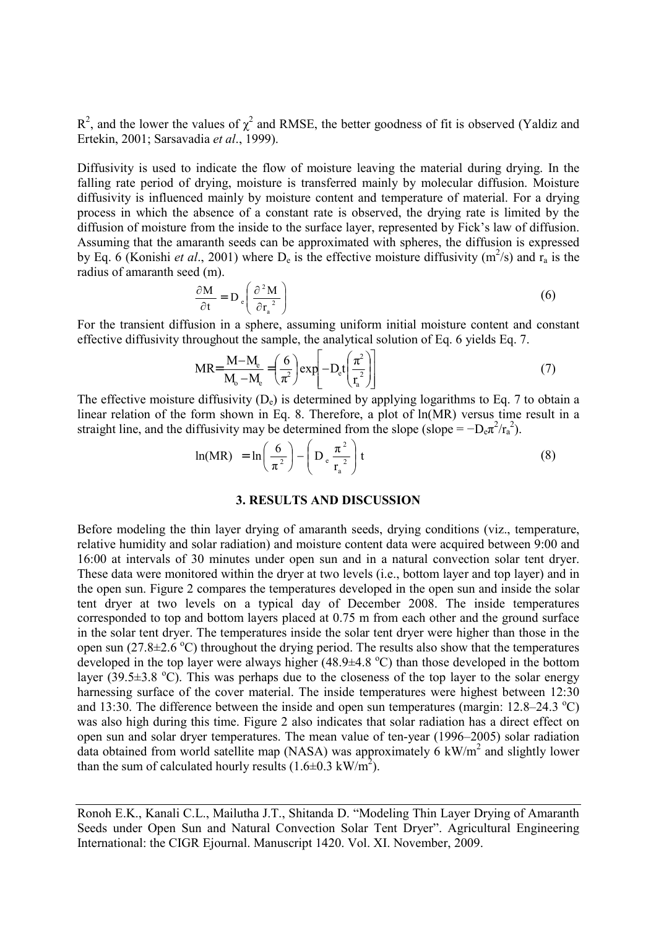$R^2$ , and the lower the values of  $\chi^2$  and RMSE, the better goodness of fit is observed (Yaldiz and Ertekin, 2001; Sarsavadia *et al*., 1999).

Diffusivity is used to indicate the flow of moisture leaving the material during drying. In the falling rate period of drying, moisture is transferred mainly by molecular diffusion. Moisture diffusivity is influenced mainly by moisture content and temperature of material. For a drying process in which the absence of a constant rate is observed, the drying rate is limited by the diffusion of moisture from the inside to the surface layer, represented by Fick's law of diffusion. Assuming that the amaranth seeds can be approximated with spheres, the diffusion is expressed by Eq. 6 (Konishi *et al.*, 2001) where  $D_e$  is the effective moisture diffusivity (m<sup>2</sup>/s) and  $r_a$  is the radius of amaranth seed (m).

$$
\frac{\partial M}{\partial t} = D_e \left( \frac{\partial^2 M}{\partial r_a^2} \right)
$$
 (6)

For the transient diffusion in a sphere, assuming uniform initial moisture content and constant effective diffusivity throughout the sample, the analytical solution of Eq. 6 yields Eq. 7.

$$
MR = \frac{M - M_e}{M_o - M_e} = \left(\frac{6}{\pi^2}\right) exp\left[-D_e t \left(\frac{\pi^2}{r_a^2}\right)\right]
$$
(7)

The effective moisture diffusivity  $(D_e)$  is determined by applying logarithms to Eq. 7 to obtain a linear relation of the form shown in Eq. 8. Therefore, a plot of ln(MR) versus time result in a straight line, and the diffusivity may be determined from the slope (slope =  $-D_e\pi^2/r_a^2$ ).

$$
\ln(MR) = \ln\left(\frac{6}{\pi^2}\right) - \left(D_e \frac{\pi^2}{r_a^2}\right)t
$$
\n(8)

## **3. RESULTS AND DISCUSSION**

Before modeling the thin layer drying of amaranth seeds, drying conditions (viz., temperature, relative humidity and solar radiation) and moisture content data were acquired between 9:00 and 16:00 at intervals of 30 minutes under open sun and in a natural convection solar tent dryer. These data were monitored within the dryer at two levels (i.e., bottom layer and top layer) and in the open sun. Figure 2 compares the temperatures developed in the open sun and inside the solar tent dryer at two levels on a typical day of December 2008. The inside temperatures corresponded to top and bottom layers placed at 0.75 m from each other and the ground surface in the solar tent dryer. The temperatures inside the solar tent dryer were higher than those in the open sun (27.8 $\pm$ 2.6 °C) throughout the drying period. The results also show that the temperatures developed in the top layer were always higher  $(48.9\pm4.8 \degree C)$  than those developed in the bottom layer  $(39.5\pm3.8 \text{ °C})$ . This was perhaps due to the closeness of the top layer to the solar energy harnessing surface of the cover material. The inside temperatures were highest between 12:30 and 13:30. The difference between the inside and open sun temperatures (margin:  $12.8-24.3 \text{ }^{\circ}\text{C}$ ) was also high during this time. Figure 2 also indicates that solar radiation has a direct effect on open sun and solar dryer temperatures. The mean value of ten-year (1996–2005) solar radiation data obtained from world satellite map (NASA) was approximately  $6 \text{ kW/m}^2$  and slightly lower than the sum of calculated hourly results  $(1.6\pm0.3 \text{ kW/m}^2)$ .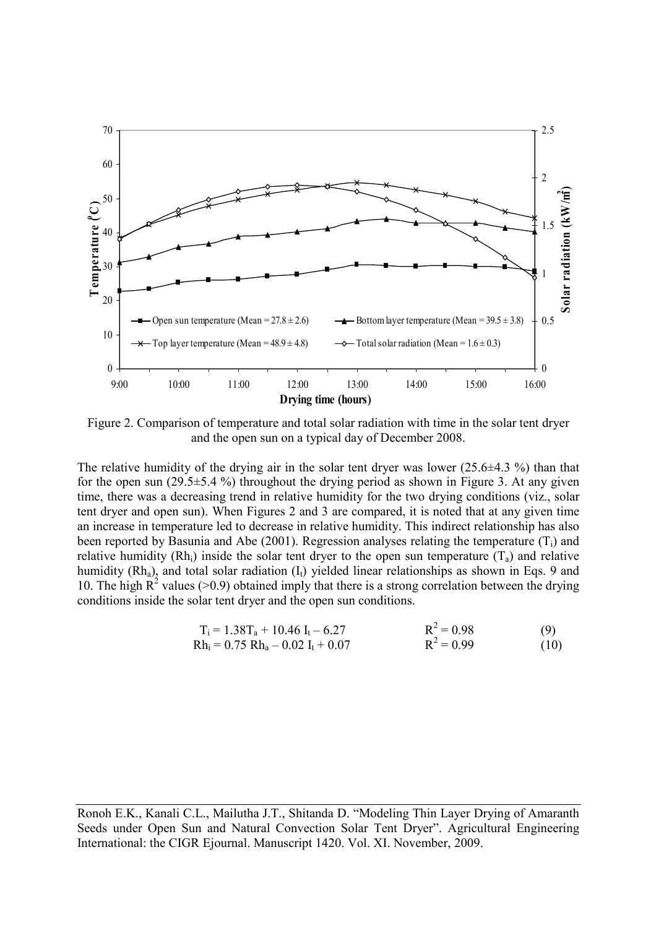

Figure 2. Comparison of temperature and total solar radiation with time in the solar tent dryer and the open sun on a typical day of December 2008.

The relative humidity of the drying air in the solar tent dryer was lower  $(25.6\pm4.3\%)$  than that for the open sun  $(29.5\pm5.4\%)$  throughout the drying period as shown in Figure 3. At any given time, there was a decreasing trend in relative humidity for the two drying conditions (viz., solar tent dryer and open sun). When Figures 2 and 3 are compared, it is noted that at any given time an increase in temperature led to decrease in relative humidity. This indirect relationship has also been reported by Basunia and Abe  $(2001)$ . Regression analyses relating the temperature  $(T_i)$  and relative humidity ( $Rh_i$ ) inside the solar tent dryer to the open sun temperature ( $T_a$ ) and relative humidity  $(Rh_a)$ , and total solar radiation  $(I_t)$  yielded linear relationships as shown in Eqs. 9 and 10. The high  $R^2$  values (>0.9) obtained imply that there is a strong correlation between the drying conditions inside the solar tent dryer and the open sun conditions.

$$
T_i = 1.38T_a + 10.46 I_t - 6.27
$$
  
\n
$$
R_i = 0.75 R h_a - 0.02 I_t + 0.07
$$
  
\n
$$
R^2 = 0.98
$$
  
\n
$$
R^2 = 0.99
$$
  
\n(9)  
\n
$$
R^2 = 0.98
$$
  
\n(9)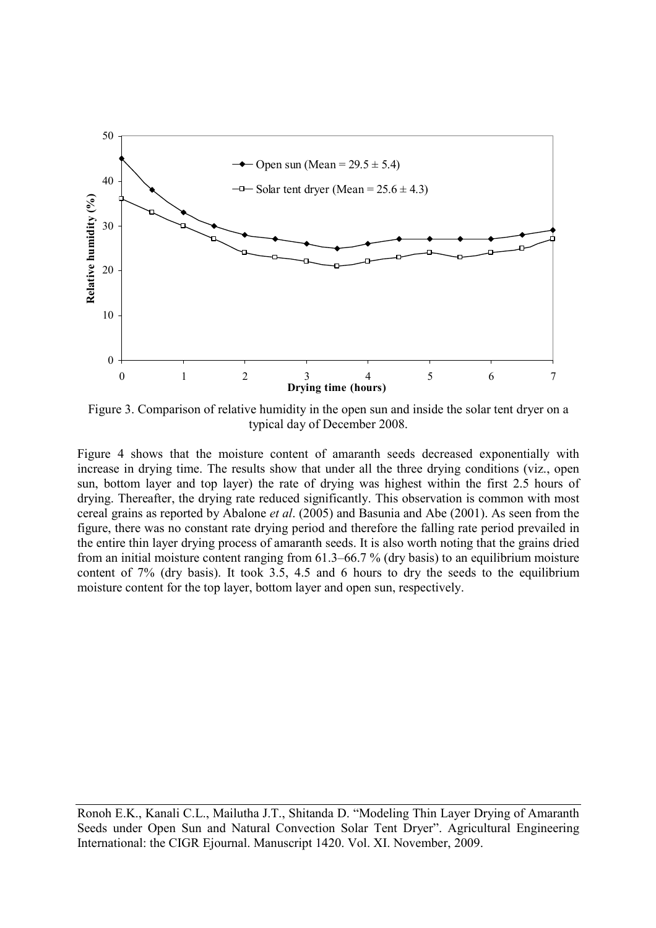

Figure 3. Comparison of relative humidity in the open sun and inside the solar tent dryer on a typical day of December 2008.

Figure 4 shows that the moisture content of amaranth seeds decreased exponentially with increase in drying time. The results show that under all the three drying conditions (viz., open sun, bottom layer and top layer) the rate of drying was highest within the first 2.5 hours of drying. Thereafter, the drying rate reduced significantly. This observation is common with most cereal grains as reported by Abalone *et al*. (2005) and Basunia and Abe (2001). As seen from the figure, there was no constant rate drying period and therefore the falling rate period prevailed in the entire thin layer drying process of amaranth seeds. It is also worth noting that the grains dried from an initial moisture content ranging from 61.3–66.7 % (dry basis) to an equilibrium moisture content of 7% (dry basis). It took 3.5, 4.5 and 6 hours to dry the seeds to the equilibrium moisture content for the top layer, bottom layer and open sun, respectively.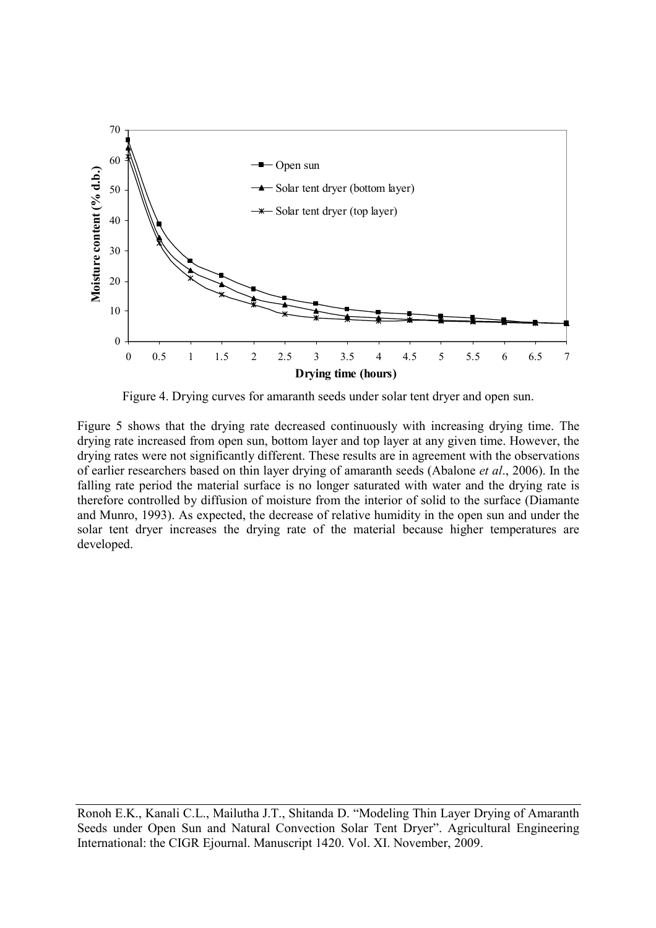

Figure 4. Drying curves for amaranth seeds under solar tent dryer and open sun.

Figure 5 shows that the drying rate decreased continuously with increasing drying time. The drying rate increased from open sun, bottom layer and top layer at any given time. However, the drying rates were not significantly different. These results are in agreement with the observations of earlier researchers based on thin layer drying of amaranth seeds (Abalone *et al*., 2006). In the falling rate period the material surface is no longer saturated with water and the drying rate is therefore controlled by diffusion of moisture from the interior of solid to the surface (Diamante and Munro, 1993). As expected, the decrease of relative humidity in the open sun and under the solar tent dryer increases the drying rate of the material because higher temperatures are developed.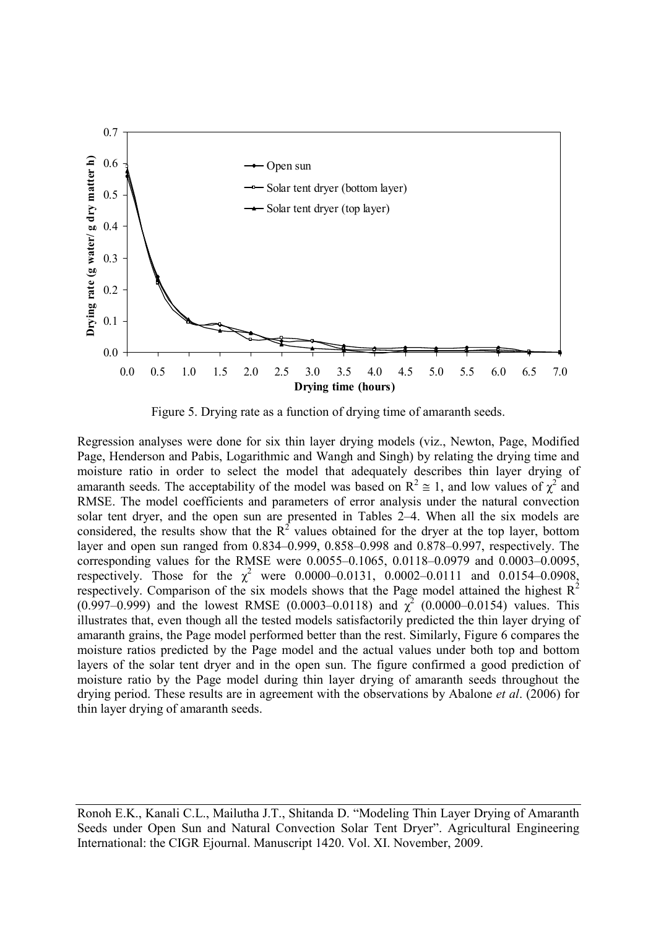

Figure 5. Drying rate as a function of drying time of amaranth seeds.

Regression analyses were done for six thin layer drying models (viz., Newton, Page, Modified Page, Henderson and Pabis, Logarithmic and Wangh and Singh) by relating the drying time and moisture ratio in order to select the model that adequately describes thin layer drying of amaranth seeds. The acceptability of the model was based on  $R^2 \approx 1$ , and low values of  $\chi^2$  and RMSE. The model coefficients and parameters of error analysis under the natural convection solar tent dryer, and the open sun are presented in Tables 2–4. When all the six models are considered, the results show that the  $R^2$  values obtained for the dryer at the top layer, bottom layer and open sun ranged from 0.834–0.999, 0.858–0.998 and 0.878–0.997, respectively. The corresponding values for the RMSE were 0.0055–0.1065, 0.0118–0.0979 and 0.0003–0.0095, respectively. Those for the  $\chi^2$  were 0.0000–0.0131, 0.0002–0.0111 and 0.0154–0.0908, respectively. Comparison of the six models shows that the Page model attained the highest  $R^2$  $(0.997-0.999)$  and the lowest RMSE  $(0.0003-0.0118)$  and  $\chi^2$   $(0.0000-0.0154)$  values. This illustrates that, even though all the tested models satisfactorily predicted the thin layer drying of amaranth grains, the Page model performed better than the rest. Similarly, Figure 6 compares the moisture ratios predicted by the Page model and the actual values under both top and bottom layers of the solar tent dryer and in the open sun. The figure confirmed a good prediction of moisture ratio by the Page model during thin layer drying of amaranth seeds throughout the drying period. These results are in agreement with the observations by Abalone *et al*. (2006) for thin layer drying of amaranth seeds.

Ronoh E.K., Kanali C.L., Mailutha J.T., Shitanda D. "Modeling Thin Layer Drying of Amaranth Seeds under Open Sun and Natural Convection Solar Tent Dryer". Agricultural Engineering International: the CIGR Ejournal. Manuscript 1420. Vol. XI. November, 2009.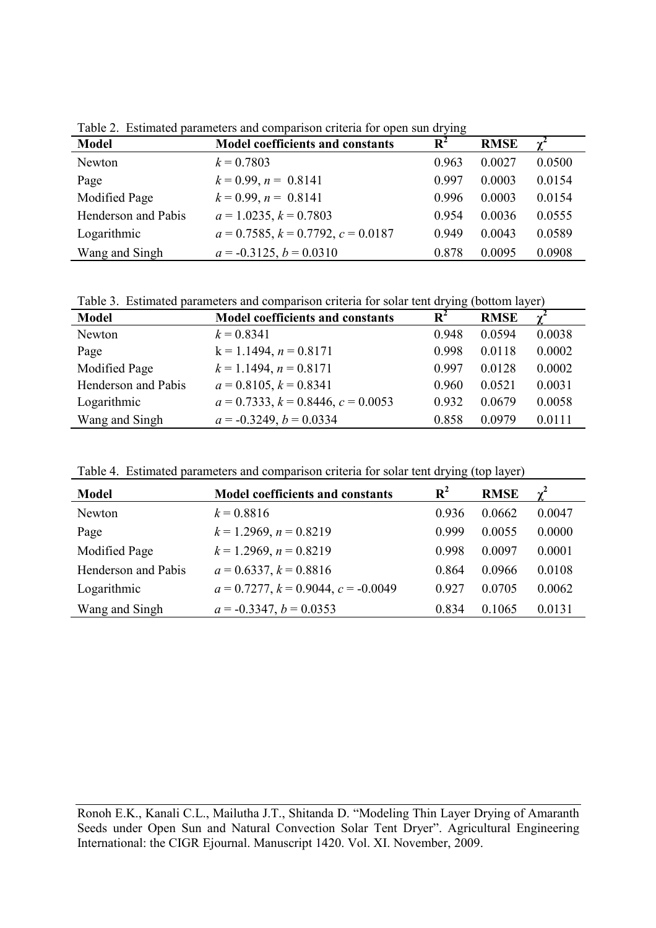| <b>Model</b>        | Model coefficients and constants     | $\mathbf{R}^2$ | <b>RMSE</b> |        |
|---------------------|--------------------------------------|----------------|-------------|--------|
| Newton              | $k = 0.7803$                         | 0.963          | 0.0027      | 0.0500 |
| Page                | $k = 0.99$ , $n = 0.8141$            | 0.997          | 0.0003      | 0.0154 |
| Modified Page       | $k = 0.99$ , $n = 0.8141$            | 0.996          | 0.0003      | 0.0154 |
| Henderson and Pabis | $a = 1.0235, k = 0.7803$             | 0.954          | 0.0036      | 0.0555 |
| Logarithmic         | $a = 0.7585, k = 0.7792, c = 0.0187$ | 0.949          | 0.0043      | 0.0589 |
| Wang and Singh      | $a = -0.3125, b = 0.0310$            | 0.878          | 0.0095      | 0.0908 |

Table 2. Estimated parameters and comparison criteria for open sun drying

Table 3. Estimated parameters and comparison criteria for solar tent drying (bottom layer)

| <b>Model</b>        | Model coefficients and constants     | $R^2$ | <b>RMSE</b> |        |
|---------------------|--------------------------------------|-------|-------------|--------|
| Newton              | $k = 0.8341$                         | 0.948 | 0.0594      | 0.0038 |
| Page                | $k = 1.1494$ , $n = 0.8171$          | 0.998 | 0.0118      | 0.0002 |
| Modified Page       | $k = 1.1494$ , $n = 0.8171$          | 0.997 | 0.0128      | 0.0002 |
| Henderson and Pabis | $a = 0.8105, k = 0.8341$             | 0.960 | 0.0521      | 0.0031 |
| Logarithmic         | $a = 0.7333, k = 0.8446, c = 0.0053$ | 0.932 | 0.0679      | 0.0058 |
| Wang and Singh      | $a = -0.3249, b = 0.0334$            | 0.858 | 0.0979      | 0.0111 |

Table 4. Estimated parameters and comparison criteria for solar tent drying (top layer)

| <b>Model</b>        | Model coefficients and constants            | $\mathbf{R}^2$ | <b>RMSE</b> |        |
|---------------------|---------------------------------------------|----------------|-------------|--------|
| Newton              | $k = 0.8816$                                | 0.936          | 0.0662      | 0.0047 |
| Page                | $k = 1.2969$ , $n = 0.8219$                 | 0.999          | 0.0055      | 0.0000 |
| Modified Page       | $k = 1.2969$ , $n = 0.8219$                 | 0.998          | 0.0097      | 0.0001 |
| Henderson and Pabis | $a = 0.6337, k = 0.8816$                    | 0.864          | 0.0966      | 0.0108 |
| Logarithmic         | $a = 0.7277$ , $k = 0.9044$ , $c = -0.0049$ | 0.927          | 0.0705      | 0.0062 |
| Wang and Singh      | $a = -0.3347, b = 0.0353$                   | 0.834          | 0.1065      | 0.0131 |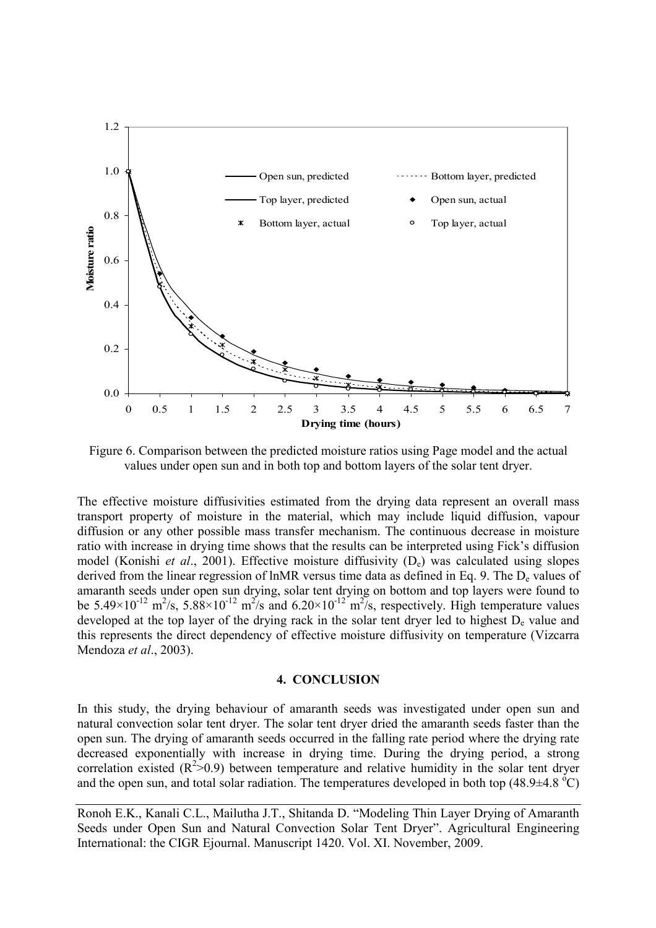

Figure 6. Comparison between the predicted moisture ratios using Page model and the actual values under open sun and in both top and bottom layers of the solar tent dryer.

The effective moisture diffusivities estimated from the drying data represent an overall mass transport property of moisture in the material, which may include liquid diffusion, vapour diffusion or any other possible mass transfer mechanism. The continuous decrease in moisture ratio with increase in drying time shows that the results can be interpreted using Fick's diffusion model (Konishi *et al.*, 2001). Effective moisture diffusivity (D<sub>e</sub>) was calculated using slopes derived from the linear regression of lnMR versus time data as defined in Eq. 9. The  $D<sub>e</sub>$  values of amaranth seeds under open sun drying, solar tent drying on bottom and top layers were found to be 5.49×10<sup>-12</sup> m<sup>2</sup>/s, 5.88×10<sup>-12</sup> m<sup>2</sup>/s and 6.20×10<sup>-12</sup> m<sup>2</sup>/s, respectively. High temperature values developed at the top layer of the drying rack in the solar tent dryer led to highest  $D<sub>e</sub>$  value and this represents the direct dependency of effective moisture diffusivity on temperature (Vizcarra Mendoza *et al*., 2003).

#### **4. CONCLUSION**

In this study, the drying behaviour of amaranth seeds was investigated under open sun and natural convection solar tent dryer. The solar tent dryer dried the amaranth seeds faster than the open sun. The drying of amaranth seeds occurred in the falling rate period where the drying rate decreased exponentially with increase in drying time. During the drying period, a strong correlation existed  $(R^2>0.9)$  between temperature and relative humidity in the solar tent dryer and the open sun, and total solar radiation. The temperatures developed in both top  $(48.9\pm4.8\degree C)$ 

Ronoh E.K., Kanali C.L., Mailutha J.T., Shitanda D. "Modeling Thin Layer Drying of Amaranth Seeds under Open Sun and Natural Convection Solar Tent Dryer". Agricultural Engineering International: the CIGR Ejournal. Manuscript 1420. Vol. XI. November, 2009.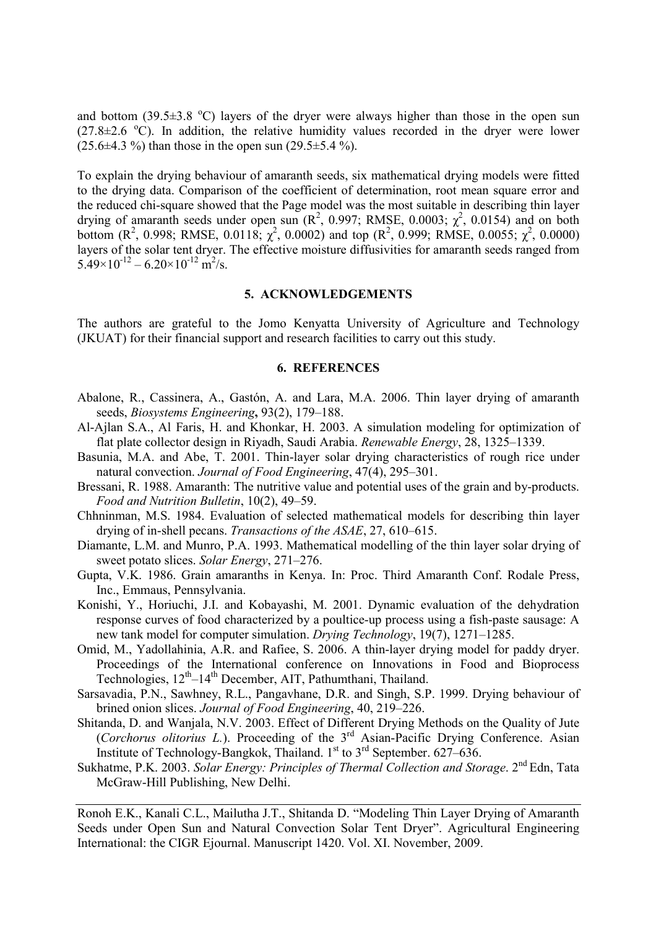and bottom (39.5 $\pm$ 3.8 °C) layers of the dryer were always higher than those in the open sun  $(27.8\pm2.6 \degree C)$ . In addition, the relative humidity values recorded in the dryer were lower  $(25.6\pm4.3\%)$  than those in the open sun  $(29.5\pm5.4\%)$ .

To explain the drying behaviour of amaranth seeds, six mathematical drying models were fitted to the drying data. Comparison of the coefficient of determination, root mean square error and the reduced chi-square showed that the Page model was the most suitable in describing thin layer drying of amaranth seeds under open sun  $(R^2, 0.997; RMSE, 0.0003; \chi^2, 0.0154)$  and on both bottom (R<sup>2</sup>, 0.998; RMSE, 0.0118;  $\chi^2$ , 0.0002) and top (R<sup>2</sup>, 0.999; RMSE, 0.0055;  $\chi^2$ , 0.0000) layers of the solar tent dryer. The effective moisture diffusivities for amaranth seeds ranged from  $5.49\times10^{-12} - 6.20\times10^{-12}$  m<sup>2</sup>/s.

### **5. ACKNOWLEDGEMENTS**

The authors are grateful to the Jomo Kenyatta University of Agriculture and Technology (JKUAT) for their financial support and research facilities to carry out this study.

### **6. REFERENCES**

- Abalone, R., Cassinera, A., Gastón, A. and Lara, M.A. 2006. Thin layer drying of amaranth seeds, *Biosystems Engineering***,** 93(2), 179–188.
- Al-Ajlan S.A., Al Faris, H. and Khonkar, H. 2003. A simulation modeling for optimization of flat plate collector design in Riyadh, Saudi Arabia. *Renewable Energy*, 28, 1325–1339.
- Basunia, M.A. and Abe, T. 2001. Thin-layer solar drying characteristics of rough rice under natural convection. *Journal of Food Engineering*, 47(4), 295–301.
- Bressani, R. 1988. Amaranth: The nutritive value and potential uses of the grain and by-products. *Food and Nutrition Bulletin*, 10(2), 49–59.
- Chhninman, M.S. 1984. Evaluation of selected mathematical models for describing thin layer drying of in-shell pecans. *Transactions of the ASAE*, 27, 610–615.
- Diamante, L.M. and Munro, P.A. 1993. Mathematical modelling of the thin layer solar drying of sweet potato slices. *Solar Energy*, 271–276.
- Gupta, V.K. 1986. Grain amaranths in Kenya. In: Proc. Third Amaranth Conf. Rodale Press, Inc., Emmaus, Pennsylvania.
- Konishi, Y., Horiuchi, J.I. and Kobayashi, M. 2001. Dynamic evaluation of the dehydration response curves of food characterized by a poultice-up process using a fish-paste sausage: A new tank model for computer simulation. *Drying Technology*, 19(7), 1271–1285.
- Omid, M., Yadollahinia, A.R. and Rafiee, S. 2006. A thin-layer drying model for paddy dryer. Proceedings of the International conference on Innovations in Food and Bioprocess Technologies,  $12<sup>th</sup>-14<sup>th</sup>$  December, AIT, Pathumthani, Thailand.
- Sarsavadia, P.N., Sawhney, R.L., Pangavhane, D.R. and Singh, S.P. 1999. Drying behaviour of brined onion slices. *Journal of Food Engineering*, 40, 219–226.
- Shitanda, D. and Wanjala, N.V. 2003. Effect of Different Drying Methods on the Quality of Jute (*Corchorus olitorius L.*). Proceeding of the 3rd Asian-Pacific Drying Conference. Asian Institute of Technology-Bangkok, Thailand.  $1<sup>st</sup>$  to  $3<sup>rd</sup>$  September. 627–636.
- Sukhatme, P.K. 2003. *Solar Energy: Principles of Thermal Collection and Storage*. 2<sup>nd</sup> Edn, Tata McGraw-Hill Publishing, New Delhi.

Ronoh E.K., Kanali C.L., Mailutha J.T., Shitanda D. "Modeling Thin Layer Drying of Amaranth Seeds under Open Sun and Natural Convection Solar Tent Dryer". Agricultural Engineering International: the CIGR Ejournal. Manuscript 1420. Vol. XI. November, 2009.